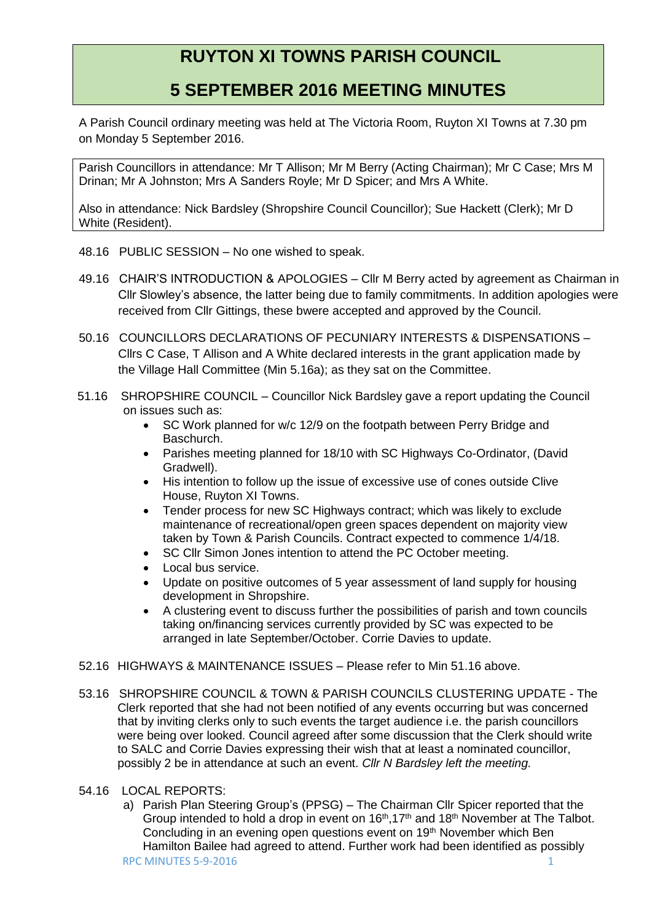## **RUYTON XI TOWNS PARISH COUNCIL**

## **5 SEPTEMBER 2016 MEETING MINUTES**

A Parish Council ordinary meeting was held at The Victoria Room, Ruyton XI Towns at 7.30 pm on Monday 5 September 2016.

Parish Councillors in attendance: Mr T Allison; Mr M Berry (Acting Chairman); Mr C Case; Mrs M Drinan; Mr A Johnston; Mrs A Sanders Royle; Mr D Spicer; and Mrs A White.

Also in attendance: Nick Bardsley (Shropshire Council Councillor); Sue Hackett (Clerk); Mr D White (Resident).

- 48.16 PUBLIC SESSION No one wished to speak.
- 49.16 CHAIR'S INTRODUCTION & APOLOGIES Cllr M Berry acted by agreement as Chairman in Cllr Slowley's absence, the latter being due to family commitments. In addition apologies were received from Cllr Gittings, these bwere accepted and approved by the Council.
- 50.16 COUNCILLORS DECLARATIONS OF PECUNIARY INTERESTS & DISPENSATIONS Cllrs C Case, T Allison and A White declared interests in the grant application made by the Village Hall Committee (Min 5.16a); as they sat on the Committee.
- 51.16 SHROPSHIRE COUNCIL Councillor Nick Bardsley gave a report updating the Council on issues such as:
	- SC Work planned for w/c 12/9 on the footpath between Perry Bridge and Baschurch.
	- Parishes meeting planned for 18/10 with SC Highways Co-Ordinator, (David Gradwell).
	- His intention to follow up the issue of excessive use of cones outside Clive House, Ruyton XI Towns.
	- Tender process for new SC Highways contract; which was likely to exclude maintenance of recreational/open green spaces dependent on majority view taken by Town & Parish Councils. Contract expected to commence 1/4/18.
	- SC Cllr Simon Jones intention to attend the PC October meeting.
	- Local bus service.
	- Update on positive outcomes of 5 year assessment of land supply for housing development in Shropshire.
	- A clustering event to discuss further the possibilities of parish and town councils taking on/financing services currently provided by SC was expected to be arranged in late September/October. Corrie Davies to update.
- 52.16 HIGHWAYS & MAINTENANCE ISSUES Please refer to Min 51.16 above.
- 53.16 SHROPSHIRE COUNCIL & TOWN & PARISH COUNCILS CLUSTERING UPDATE The Clerk reported that she had not been notified of any events occurring but was concerned that by inviting clerks only to such events the target audience i.e. the parish councillors were being over looked. Council agreed after some discussion that the Clerk should write to SALC and Corrie Davies expressing their wish that at least a nominated councillor, possibly 2 be in attendance at such an event. *Cllr N Bardsley left the meeting.*
- 54.16 LOCAL REPORTS:
	- a) Parish Plan Steering Group's (PPSG) The Chairman Cllr Spicer reported that the Group intended to hold a drop in event on  $16<sup>th</sup>,17<sup>th</sup>$  and  $18<sup>th</sup>$  November at The Talbot. Concluding in an evening open questions event on 19<sup>th</sup> November which Ben Hamilton Bailee had agreed to attend. Further work had been identified as possibly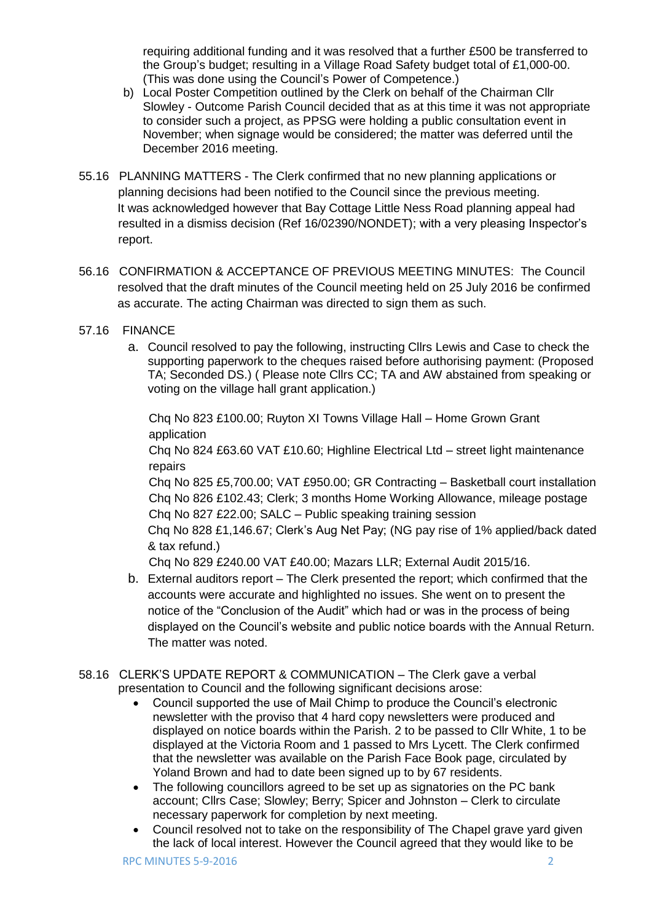requiring additional funding and it was resolved that a further £500 be transferred to the Group's budget; resulting in a Village Road Safety budget total of £1,000-00. (This was done using the Council's Power of Competence.)

- b) Local Poster Competition outlined by the Clerk on behalf of the Chairman Cllr Slowley - Outcome Parish Council decided that as at this time it was not appropriate to consider such a project, as PPSG were holding a public consultation event in November; when signage would be considered; the matter was deferred until the December 2016 meeting.
- 55.16 PLANNING MATTERS The Clerk confirmed that no new planning applications or planning decisions had been notified to the Council since the previous meeting. It was acknowledged however that Bay Cottage Little Ness Road planning appeal had resulted in a dismiss decision (Ref 16/02390/NONDET); with a very pleasing Inspector's report.
- 56.16 CONFIRMATION & ACCEPTANCE OF PREVIOUS MEETING MINUTES: The Council resolved that the draft minutes of the Council meeting held on 25 July 2016 be confirmed as accurate. The acting Chairman was directed to sign them as such.
- 57.16 FINANCE
	- a. Council resolved to pay the following, instructing Cllrs Lewis and Case to check the supporting paperwork to the cheques raised before authorising payment: (Proposed TA; Seconded DS.) ( Please note Cllrs CC; TA and AW abstained from speaking or voting on the village hall grant application.)

Chq No 823 £100.00; Ruyton XI Towns Village Hall – Home Grown Grant application

Chq No 824 £63.60 VAT £10.60; Highline Electrical Ltd – street light maintenance repairs

Chq No 825 £5,700.00; VAT £950.00; GR Contracting – Basketball court installation Chq No 826 £102.43; Clerk; 3 months Home Working Allowance, mileage postage Chq No 827 £22.00; SALC – Public speaking training session

Chq No 828 £1,146.67; Clerk's Aug Net Pay; (NG pay rise of 1% applied/back dated & tax refund.)

Chq No 829 £240.00 VAT £40.00; Mazars LLR; External Audit 2015/16.

- b. External auditors report The Clerk presented the report; which confirmed that the accounts were accurate and highlighted no issues. She went on to present the notice of the "Conclusion of the Audit" which had or was in the process of being displayed on the Council's website and public notice boards with the Annual Return. The matter was noted.
- 58.16 CLERK'S UPDATE REPORT & COMMUNICATION The Clerk gave a verbal presentation to Council and the following significant decisions arose:
	- Council supported the use of Mail Chimp to produce the Council's electronic newsletter with the proviso that 4 hard copy newsletters were produced and displayed on notice boards within the Parish. 2 to be passed to Cllr White, 1 to be displayed at the Victoria Room and 1 passed to Mrs Lycett. The Clerk confirmed that the newsletter was available on the Parish Face Book page, circulated by Yoland Brown and had to date been signed up to by 67 residents.
	- The following councillors agreed to be set up as signatories on the PC bank account; Cllrs Case; Slowley; Berry; Spicer and Johnston – Clerk to circulate necessary paperwork for completion by next meeting.
	- Council resolved not to take on the responsibility of The Chapel grave yard given the lack of local interest. However the Council agreed that they would like to be